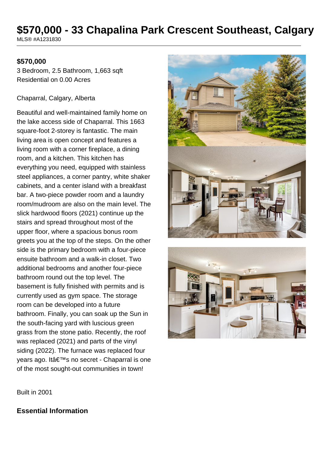# **\$570,000 - 33 Chapalina Park Crescent Southeast, Calgary**

MLS® #A1231830

#### **\$570,000**

3 Bedroom, 2.5 Bathroom, 1,663 sqft Residential on 0.00 Acres

#### Chaparral, Calgary, Alberta

Beautiful and well-maintained family home on the lake access side of Chaparral. This 1663 square-foot 2-storey is fantastic. The main living area is open concept and features a living room with a corner fireplace, a dining room, and a kitchen. This kitchen has everything you need, equipped with stainless steel appliances, a corner pantry, white shaker cabinets, and a center island with a breakfast bar. A two-piece powder room and a laundry room/mudroom are also on the main level. The slick hardwood floors (2021) continue up the stairs and spread throughout most of the upper floor, where a spacious bonus room greets you at the top of the steps. On the other side is the primary bedroom with a four-piece ensuite bathroom and a walk-in closet. Two additional bedrooms and another four-piece bathroom round out the top level. The basement is fully finished with permits and is currently used as gym space. The storage room can be developed into a future bathroom. Finally, you can soak up the Sun in the south-facing yard with luscious green grass from the stone patio. Recently, the roof was replaced (2021) and parts of the vinyl siding (2022). The furnace was replaced four years ago. It's no secret - Chaparral is one of the most sought-out communities in town!





Built in 2001

### **Essential Information**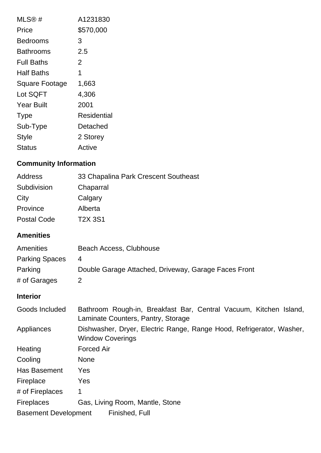| MLS@#                 | A1231830    |
|-----------------------|-------------|
| Price                 | \$570,000   |
| Bedrooms              | 3           |
| Bathrooms             | 2.5         |
| <b>Full Baths</b>     | 2           |
| Half Baths            | 1           |
| <b>Square Footage</b> | 1,663       |
| Lot SQFT              | 4,306       |
| <b>Year Built</b>     | 2001        |
| <b>Type</b>           | Residential |
| Sub-Type              | Detached    |
| <b>Style</b>          | 2 Storey    |
| Status                | Active      |

## **Community Information**

| Address            | 33 Chapalina Park Crescent Southeast |
|--------------------|--------------------------------------|
| Subdivision        | Chaparral                            |
| City               | Calgary                              |
| Province           | Alberta                              |
| <b>Postal Code</b> | <b>T2X 3S1</b>                       |

## **Amenities**

| <b>Amenities</b>      | Beach Access, Clubhouse                              |
|-----------------------|------------------------------------------------------|
| <b>Parking Spaces</b> | -4                                                   |
| Parking               | Double Garage Attached, Driveway, Garage Faces Front |
| # of Garages          | 2                                                    |

## **Interior**

| Goods Included              | Bathroom Rough-in, Breakfast Bar, Central Vacuum, Kitchen Island,<br>Laminate Counters, Pantry, Storage |
|-----------------------------|---------------------------------------------------------------------------------------------------------|
| Appliances                  | Dishwasher, Dryer, Electric Range, Range Hood, Refrigerator, Washer,<br><b>Window Coverings</b>         |
| Heating                     | <b>Forced Air</b>                                                                                       |
| Cooling                     | <b>None</b>                                                                                             |
| Has Basement                | Yes                                                                                                     |
| Fireplace                   | Yes                                                                                                     |
| # of Fireplaces             | 1                                                                                                       |
| <b>Fireplaces</b>           | Gas, Living Room, Mantle, Stone                                                                         |
| <b>Basement Development</b> | Finished, Full                                                                                          |